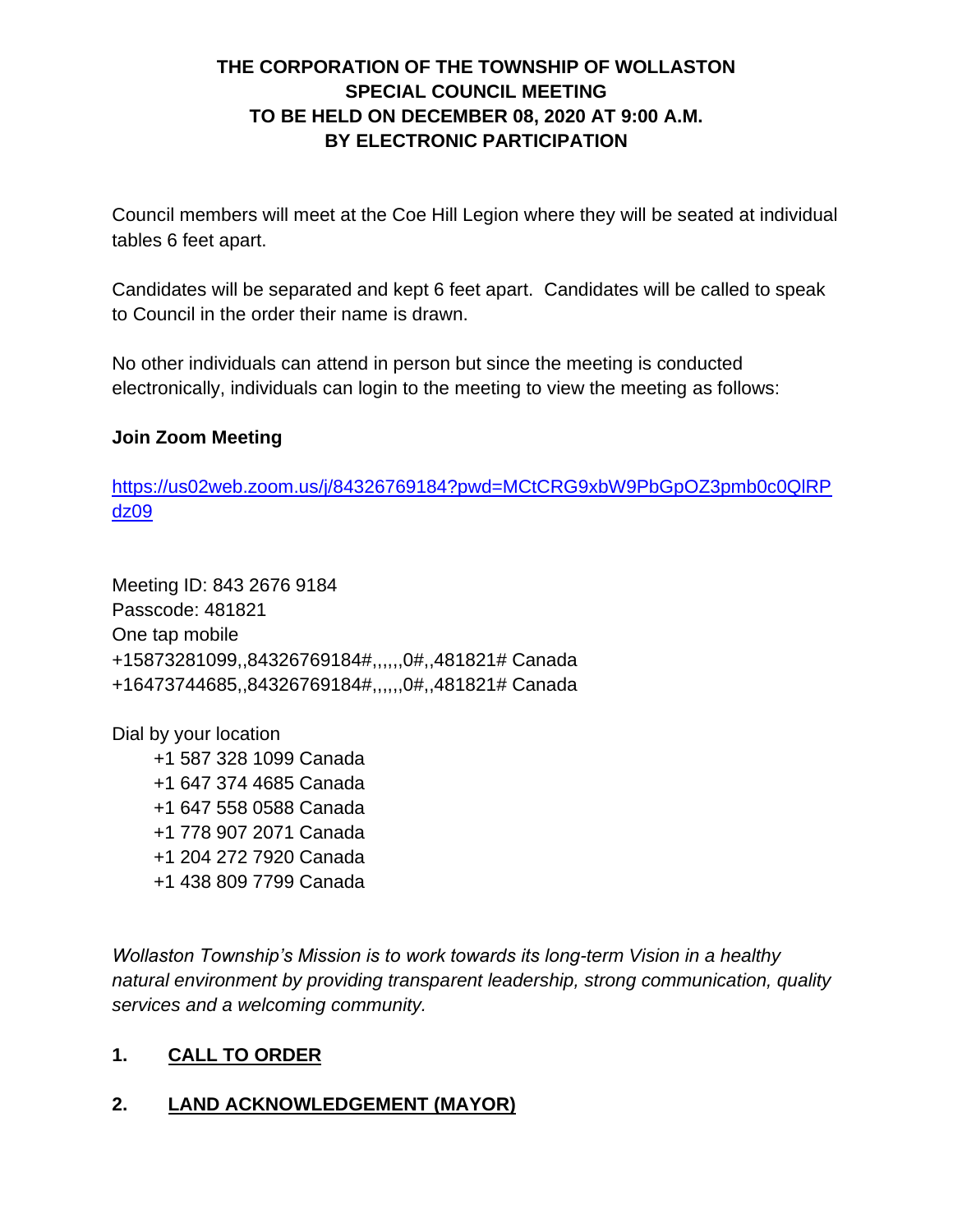# **THE CORPORATION OF THE TOWNSHIP OF WOLLASTON SPECIAL COUNCIL MEETING TO BE HELD ON DECEMBER 08, 2020 AT 9:00 A.M. BY ELECTRONIC PARTICIPATION**

Council members will meet at the Coe Hill Legion where they will be seated at individual tables 6 feet apart.

Candidates will be separated and kept 6 feet apart. Candidates will be called to speak to Council in the order their name is drawn.

No other individuals can attend in person but since the meeting is conducted electronically, individuals can login to the meeting to view the meeting as follows:

#### **Join Zoom Meeting**

[https://us02web.zoom.us/j/84326769184?pwd=MCtCRG9xbW9PbGpOZ3pmb0c0QlRP](https://us02web.zoom.us/j/84326769184?pwd=MCtCRG9xbW9PbGpOZ3pmb0c0QlRPdz09) [dz09](https://us02web.zoom.us/j/84326769184?pwd=MCtCRG9xbW9PbGpOZ3pmb0c0QlRPdz09)

Meeting ID: 843 2676 9184 Passcode: 481821 One tap mobile +15873281099,,84326769184#,,,,,,0#,,481821# Canada +16473744685,,84326769184#,,,,,,0#,,481821# Canada

Dial by your location

 +1 587 328 1099 Canada +1 647 374 4685 Canada +1 647 558 0588 Canada +1 778 907 2071 Canada +1 204 272 7920 Canada +1 438 809 7799 Canada

*Wollaston Township's Mission is to work towards its long-term Vision in a healthy natural environment by providing transparent leadership, strong communication, quality services and a welcoming community.*

### **1. CALL TO ORDER**

### **2. LAND ACKNOWLEDGEMENT (MAYOR)**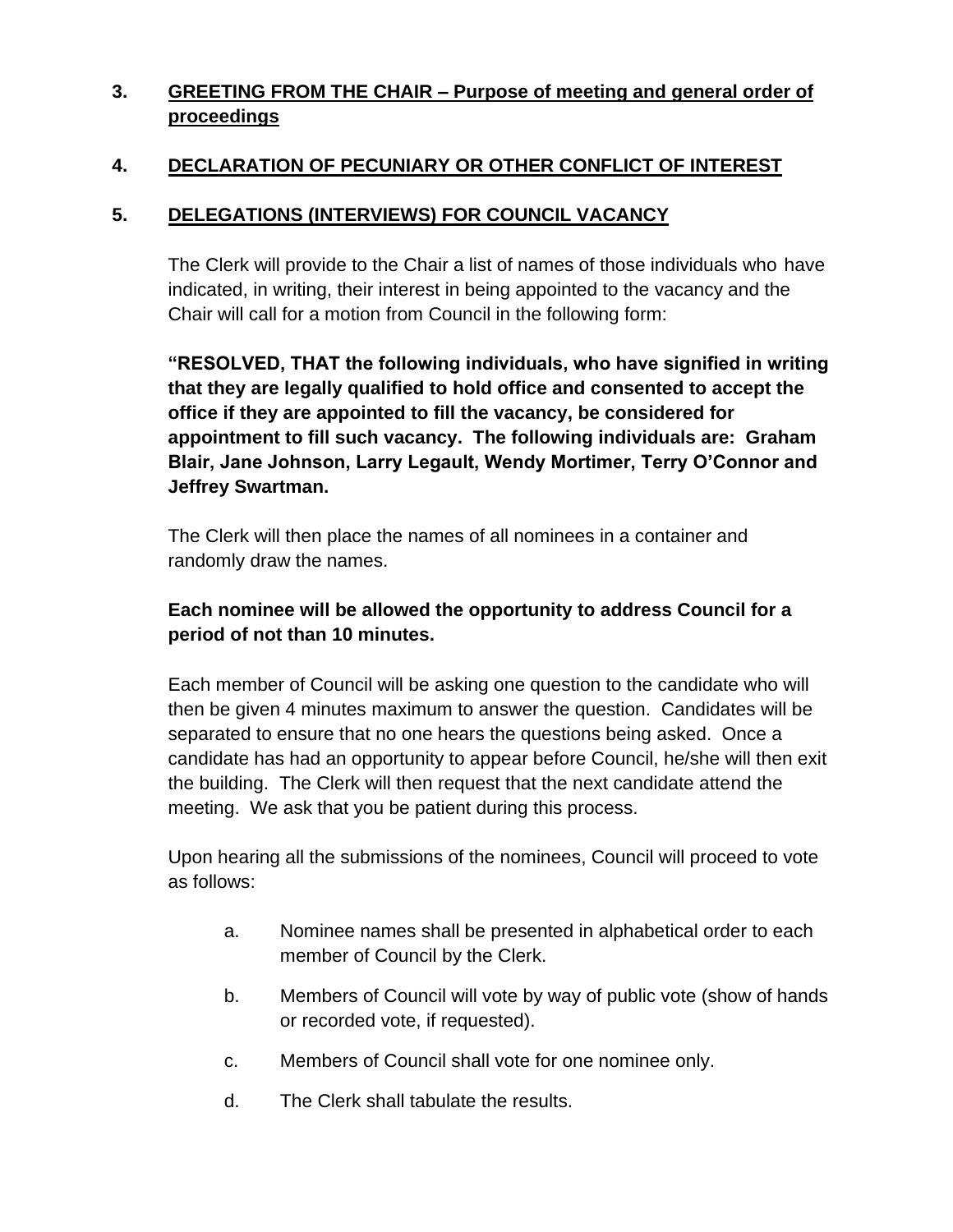# **3. GREETING FROM THE CHAIR – Purpose of meeting and general order of proceedings**

# **4. DECLARATION OF PECUNIARY OR OTHER CONFLICT OF INTEREST**

### **5. DELEGATIONS (INTERVIEWS) FOR COUNCIL VACANCY**

The Clerk will provide to the Chair a list of names of those individuals who have indicated, in writing, their interest in being appointed to the vacancy and the Chair will call for a motion from Council in the following form:

**"RESOLVED, THAT the following individuals, who have signified in writing that they are legally qualified to hold office and consented to accept the office if they are appointed to fill the vacancy, be considered for appointment to fill such vacancy. The following individuals are: Graham Blair, Jane Johnson, Larry Legault, Wendy Mortimer, Terry O'Connor and Jeffrey Swartman.**

The Clerk will then place the names of all nominees in a container and randomly draw the names.

## **Each nominee will be allowed the opportunity to address Council for a period of not than 10 minutes.**

Each member of Council will be asking one question to the candidate who will then be given 4 minutes maximum to answer the question. Candidates will be separated to ensure that no one hears the questions being asked. Once a candidate has had an opportunity to appear before Council, he/she will then exit the building. The Clerk will then request that the next candidate attend the meeting. We ask that you be patient during this process.

Upon hearing all the submissions of the nominees, Council will proceed to vote as follows:

- a. Nominee names shall be presented in alphabetical order to each member of Council by the Clerk.
- b. Members of Council will vote by way of public vote (show of hands or recorded vote, if requested).
- c. Members of Council shall vote for one nominee only.
- d. The Clerk shall tabulate the results.